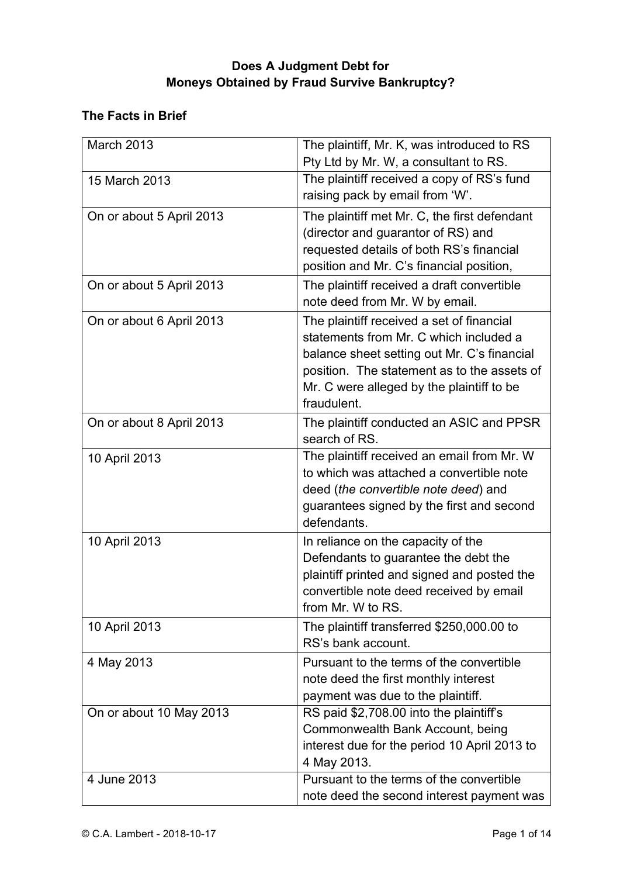# **Does A Judgment Debt for Moneys Obtained by Fraud Survive Bankruptcy?**

## **The Facts in Brief**

| March 2013               | The plaintiff, Mr. K, was introduced to RS<br>Pty Ltd by Mr. W, a consultant to RS.                                                                                                                                                           |
|--------------------------|-----------------------------------------------------------------------------------------------------------------------------------------------------------------------------------------------------------------------------------------------|
| 15 March 2013            | The plaintiff received a copy of RS's fund<br>raising pack by email from 'W'.                                                                                                                                                                 |
| On or about 5 April 2013 | The plaintiff met Mr. C, the first defendant<br>(director and guarantor of RS) and<br>requested details of both RS's financial<br>position and Mr. C's financial position,                                                                    |
| On or about 5 April 2013 | The plaintiff received a draft convertible<br>note deed from Mr. W by email.                                                                                                                                                                  |
| On or about 6 April 2013 | The plaintiff received a set of financial<br>statements from Mr. C which included a<br>balance sheet setting out Mr. C's financial<br>position. The statement as to the assets of<br>Mr. C were alleged by the plaintiff to be<br>fraudulent. |
| On or about 8 April 2013 | The plaintiff conducted an ASIC and PPSR<br>search of RS.                                                                                                                                                                                     |
| 10 April 2013            | The plaintiff received an email from Mr. W<br>to which was attached a convertible note<br>deed (the convertible note deed) and<br>guarantees signed by the first and second<br>defendants.                                                    |
| 10 April 2013            | In reliance on the capacity of the<br>Defendants to guarantee the debt the<br>plaintiff printed and signed and posted the<br>convertible note deed received by email<br>from Mr. W to RS.                                                     |
| 10 April 2013            | The plaintiff transferred \$250,000.00 to<br>RS's bank account.                                                                                                                                                                               |
| 4 May 2013               | Pursuant to the terms of the convertible<br>note deed the first monthly interest<br>payment was due to the plaintiff.                                                                                                                         |
| On or about 10 May 2013  | RS paid \$2,708.00 into the plaintiff's<br>Commonwealth Bank Account, being<br>interest due for the period 10 April 2013 to<br>4 May 2013.                                                                                                    |
| 4 June 2013              | Pursuant to the terms of the convertible<br>note deed the second interest payment was                                                                                                                                                         |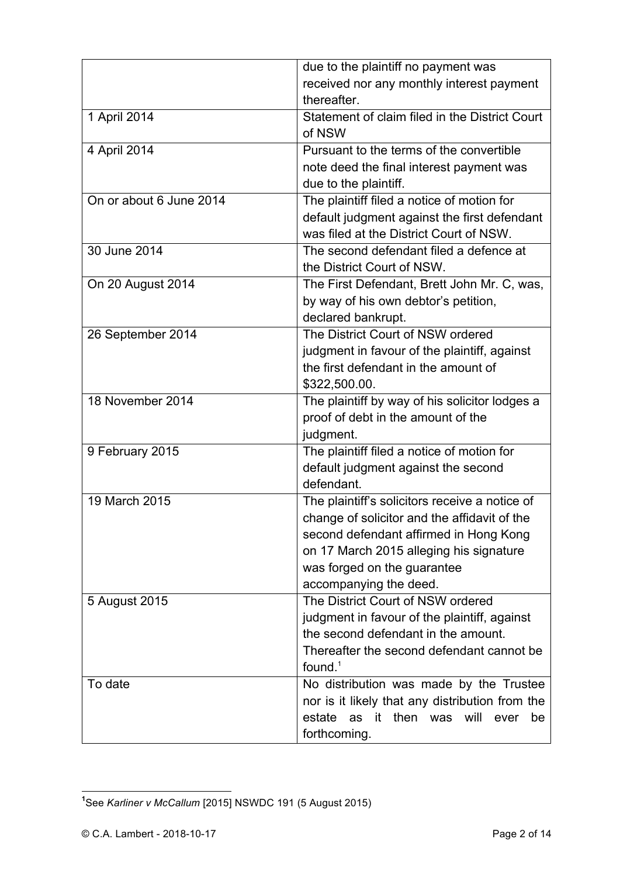|                         | due to the plaintiff no payment was             |
|-------------------------|-------------------------------------------------|
|                         | received nor any monthly interest payment       |
|                         | thereafter.                                     |
| 1 April 2014            | Statement of claim filed in the District Court  |
|                         | of NSW                                          |
| 4 April 2014            | Pursuant to the terms of the convertible        |
|                         | note deed the final interest payment was        |
|                         | due to the plaintiff.                           |
| On or about 6 June 2014 | The plaintiff filed a notice of motion for      |
|                         | default judgment against the first defendant    |
|                         | was filed at the District Court of NSW.         |
| 30 June 2014            | The second defendant filed a defence at         |
|                         | the District Court of NSW.                      |
| On 20 August 2014       | The First Defendant, Brett John Mr. C, was,     |
|                         | by way of his own debtor's petition,            |
|                         | declared bankrupt.                              |
| 26 September 2014       | The District Court of NSW ordered               |
|                         | judgment in favour of the plaintiff, against    |
|                         | the first defendant in the amount of            |
|                         | \$322,500.00.                                   |
| 18 November 2014        | The plaintiff by way of his solicitor lodges a  |
|                         | proof of debt in the amount of the              |
|                         | judgment.                                       |
| 9 February 2015         | The plaintiff filed a notice of motion for      |
|                         | default judgment against the second             |
|                         | defendant.                                      |
| 19 March 2015           | The plaintiff's solicitors receive a notice of  |
|                         | change of solicitor and the affidavit of the    |
|                         | second defendant affirmed in Hong Kong          |
|                         | on 17 March 2015 alleging his signature         |
|                         | was forged on the guarantee                     |
|                         | accompanying the deed.                          |
| 5 August 2015           | The District Court of NSW ordered               |
|                         | judgment in favour of the plaintiff, against    |
|                         | the second defendant in the amount.             |
|                         | Thereafter the second defendant cannot be       |
|                         | found. $1$                                      |
| To date                 | No distribution was made by the Trustee         |
|                         | nor is it likely that any distribution from the |
|                         | estate<br>as it then was will<br>ever<br>be     |
|                         | forthcoming.                                    |

**1** See *Karliner v McCallum* [2015] NSWDC 191 (5 August 2015)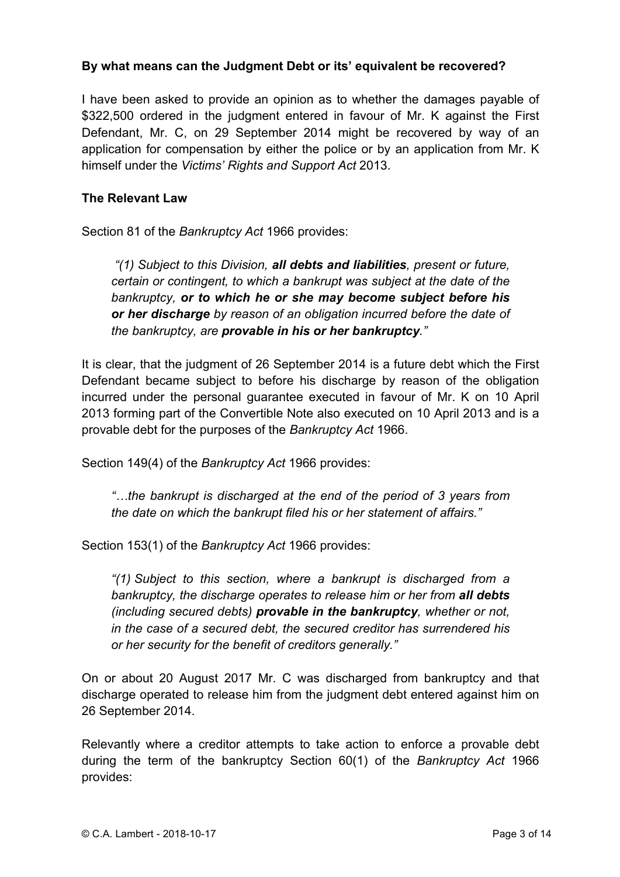### **By what means can the Judgment Debt or its' equivalent be recovered?**

I have been asked to provide an opinion as to whether the damages payable of \$322,500 ordered in the judgment entered in favour of Mr. K against the First Defendant, Mr. C, on 29 September 2014 might be recovered by way of an application for compensation by either the police or by an application from Mr. K himself under the *Victims' Rights and Support Act* 2013.

#### **The Relevant Law**

Section 81 of the *Bankruptcy Act* 1966 provides:

*"(1) Subject to this Division, all debts and liabilities, present or future, certain or contingent, to which a bankrupt was subject at the date of the bankruptcy, or to which he or she may become subject before his or her discharge by reason of an obligation incurred before the date of the bankruptcy, are provable in his or her bankruptcy."*

It is clear, that the judgment of 26 September 2014 is a future debt which the First Defendant became subject to before his discharge by reason of the obligation incurred under the personal guarantee executed in favour of Mr. K on 10 April 2013 forming part of the Convertible Note also executed on 10 April 2013 and is a provable debt for the purposes of the *Bankruptcy Act* 1966.

Section 149(4) of the *Bankruptcy Act* 1966 provides:

*"…the bankrupt is discharged at the end of the period of 3 years from the date on which the bankrupt filed his or her statement of affairs."*

Section 153(1) of the *Bankruptcy Act* 1966 provides:

*"(1) Subject to this section, where a bankrupt is discharged from a bankruptcy, the discharge operates to release him or her from all debts (including secured debts) provable in the bankruptcy, whether or not, in the case of a secured debt, the secured creditor has surrendered his or her security for the benefit of creditors generally."*

On or about 20 August 2017 Mr. C was discharged from bankruptcy and that discharge operated to release him from the judgment debt entered against him on 26 September 2014.

Relevantly where a creditor attempts to take action to enforce a provable debt during the term of the bankruptcy Section 60(1) of the *Bankruptcy Act* 1966 provides: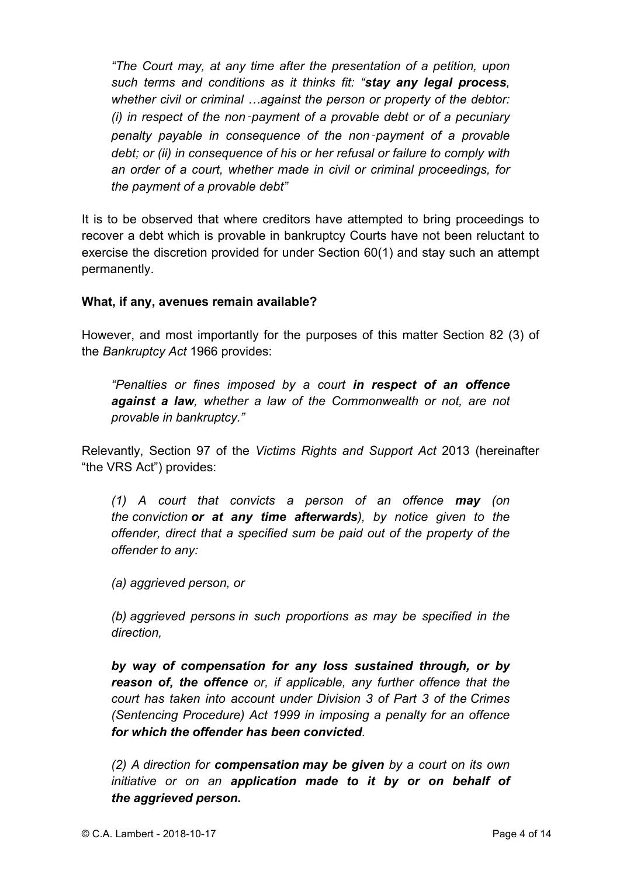*"The Court may, at any time after the presentation of a petition, upon such terms and conditions as it thinks fit: "stay any legal process, whether civil or criminal …against the person or property of the debtor: (i) in respect of the non*‑*payment of a provable debt or of a pecuniary penalty payable in consequence of the non*‑*payment of a provable debt; or (ii) in consequence of his or her refusal or failure to comply with an order of a court, whether made in civil or criminal proceedings, for the payment of a provable debt"* 

It is to be observed that where creditors have attempted to bring proceedings to recover a debt which is provable in bankruptcy Courts have not been reluctant to exercise the discretion provided for under Section 60(1) and stay such an attempt permanently.

#### **What, if any, avenues remain available?**

However, and most importantly for the purposes of this matter Section 82 (3) of the *Bankruptcy Act* 1966 provides:

*"Penalties or fines imposed by a court in respect of an offence against a law, whether a law of the Commonwealth or not, are not provable in bankruptcy."*

Relevantly, Section 97 of the *Victims Rights and Support Act* 2013 (hereinafter "the VRS Act") provides:

*(1) A court that convicts a person of an offence may (on the conviction or at any time afterwards), by notice given to the offender, direct that a specified sum be paid out of the property of the offender to any:*

*(a) aggrieved person, or*

*(b) aggrieved persons in such proportions as may be specified in the direction,*

*by way of compensation for any loss sustained through, or by reason of, the offence or, if applicable, any further offence that the court has taken into account under Division 3 of Part 3 of the Crimes (Sentencing Procedure) Act 1999 in imposing a penalty for an offence for which the offender has been convicted.*

*(2) A direction for compensation may be given by a court on its own initiative or on an application made to it by or on behalf of the aggrieved person.*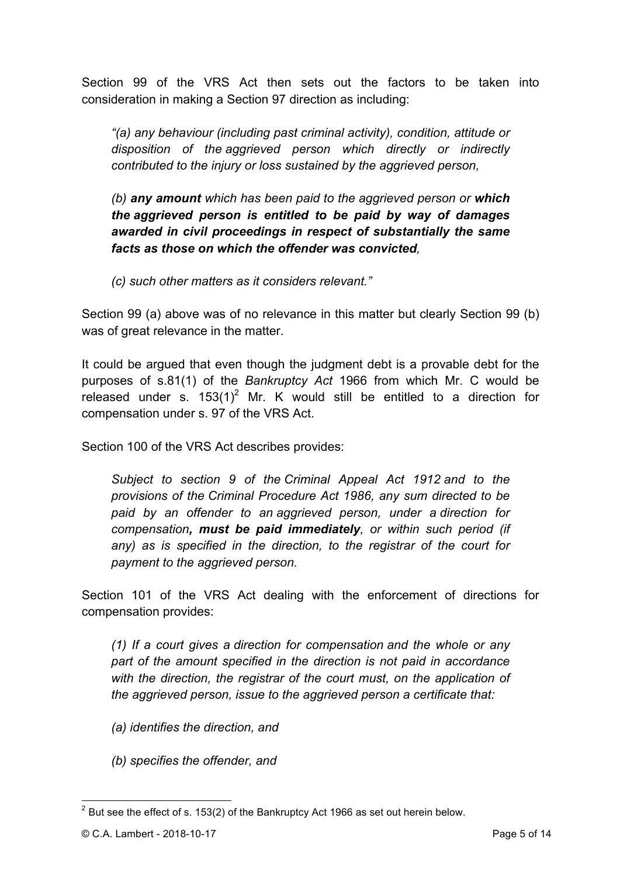Section 99 of the VRS Act then sets out the factors to be taken into consideration in making a Section 97 direction as including:

*"(a) any behaviour (including past criminal activity), condition, attitude or disposition of the aggrieved person which directly or indirectly contributed to the injury or loss sustained by the aggrieved person,*

*(b) any amount which has been paid to the aggrieved person or which the aggrieved person is entitled to be paid by way of damages awarded in civil proceedings in respect of substantially the same facts as those on which the offender was convicted,*

*(c) such other matters as it considers relevant."*

Section 99 (a) above was of no relevance in this matter but clearly Section 99 (b) was of great relevance in the matter.

It could be argued that even though the judgment debt is a provable debt for the purposes of s.81(1) of the *Bankruptcy Act* 1966 from which Mr. C would be released under s.  $153(1)^2$  Mr. K would still be entitled to a direction for compensation under s. 97 of the VRS Act.

Section 100 of the VRS Act describes provides:

*Subject to section 9 of the Criminal Appeal Act 1912 and to the provisions of the Criminal Procedure Act 1986, any sum directed to be paid by an offender to an aggrieved person, under a direction for compensation, must be paid immediately, or within such period (if any) as is specified in the direction, to the registrar of the court for payment to the aggrieved person.*

Section 101 of the VRS Act dealing with the enforcement of directions for compensation provides:

*(1) If a court gives a direction for compensation and the whole or any part of the amount specified in the direction is not paid in accordance*  with the direction, the registrar of the court must, on the application of *the aggrieved person, issue to the aggrieved person a certificate that:*

- *(a) identifies the direction, and*
- *(b) specifies the offender, and*

 $2$  But see the effect of s. 153(2) of the Bankruptcy Act 1966 as set out herein below.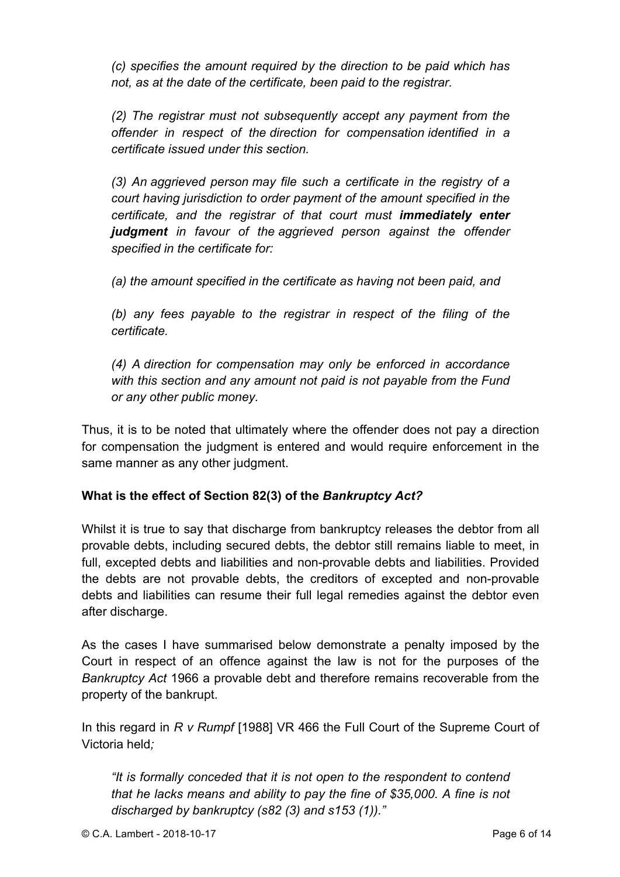*(c) specifies the amount required by the direction to be paid which has not, as at the date of the certificate, been paid to the registrar.*

*(2) The registrar must not subsequently accept any payment from the offender in respect of the direction for compensation identified in a certificate issued under this section.*

*(3) An aggrieved person may file such a certificate in the registry of a court having jurisdiction to order payment of the amount specified in the certificate, and the registrar of that court must immediately enter judgment in favour of the aggrieved person against the offender specified in the certificate for:*

*(a) the amount specified in the certificate as having not been paid, and*

*(b) any fees payable to the registrar in respect of the filing of the certificate.*

*(4) A direction for compensation may only be enforced in accordance with this section and any amount not paid is not payable from the Fund or any other public money.*

Thus, it is to be noted that ultimately where the offender does not pay a direction for compensation the judgment is entered and would require enforcement in the same manner as any other judgment.

## **What is the effect of Section 82(3) of the** *Bankruptcy Act?*

Whilst it is true to say that discharge from bankruptcy releases the debtor from all provable debts, including secured debts, the debtor still remains liable to meet, in full, excepted debts and liabilities and non-provable debts and liabilities. Provided the debts are not provable debts, the creditors of excepted and non-provable debts and liabilities can resume their full legal remedies against the debtor even after discharge.

As the cases I have summarised below demonstrate a penalty imposed by the Court in respect of an offence against the law is not for the purposes of the *Bankruptcy Act* 1966 a provable debt and therefore remains recoverable from the property of the bankrupt.

In this regard in *R v Rumpf* [1988] VR 466 the Full Court of the Supreme Court of Victoria held*;*

*"It is formally conceded that it is not open to the respondent to contend that he lacks means and ability to pay the fine of \$35,000. A fine is not discharged by bankruptcy (s82 (3) and s153 (1))."*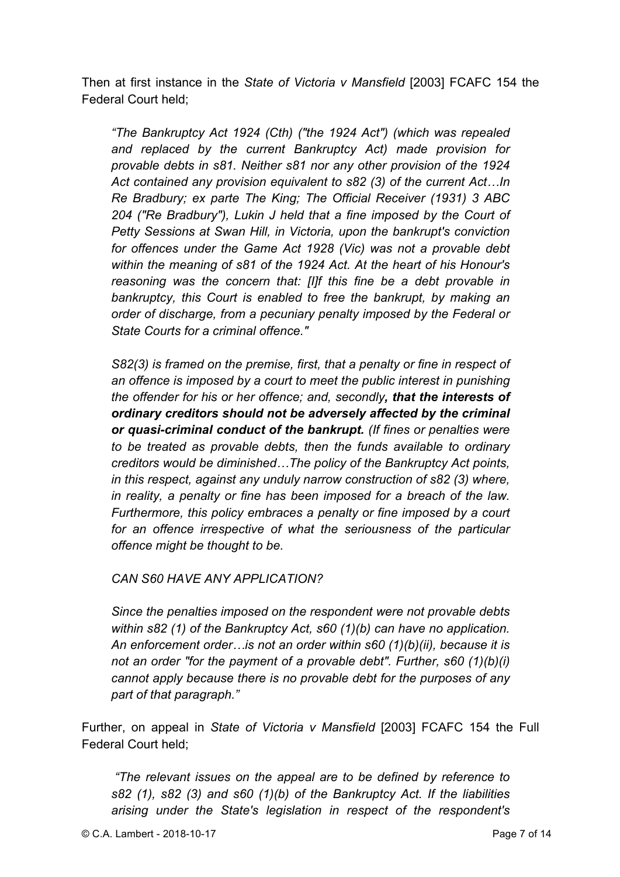Then at first instance in the *State of Victoria v Mansfield* [2003] FCAFC 154 the Federal Court held;

*"The Bankruptcy Act 1924 (Cth) ("the 1924 Act") (which was repealed and replaced by the current Bankruptcy Act) made provision for provable debts in s81. Neither s81 nor any other provision of the 1924 Act contained any provision equivalent to s82 (3) of the current Act…In Re Bradbury; ex parte The King; The Official Receiver (1931) 3 ABC 204 ("Re Bradbury"), Lukin J held that a fine imposed by the Court of Petty Sessions at Swan Hill, in Victoria, upon the bankrupt's conviction for offences under the Game Act 1928 (Vic) was not a provable debt within the meaning of s81 of the 1924 Act. At the heart of his Honour's reasoning was the concern that: [I]f this fine be a debt provable in bankruptcy, this Court is enabled to free the bankrupt, by making an order of discharge, from a pecuniary penalty imposed by the Federal or State Courts for a criminal offence."*

*S82(3) is framed on the premise, first, that a penalty or fine in respect of an offence is imposed by a court to meet the public interest in punishing the offender for his or her offence; and, secondly, that the interests of ordinary creditors should not be adversely affected by the criminal or quasi-criminal conduct of the bankrupt. (If fines or penalties were to be treated as provable debts, then the funds available to ordinary creditors would be diminished…The policy of the Bankruptcy Act points, in this respect, against any unduly narrow construction of s82 (3) where, in reality, a penalty or fine has been imposed for a breach of the law. Furthermore, this policy embraces a penalty or fine imposed by a court for an offence irrespective of what the seriousness of the particular offence might be thought to be.*

*CAN S60 HAVE ANY APPLICATION?*

*Since the penalties imposed on the respondent were not provable debts within s82 (1) of the Bankruptcy Act, s60 (1)(b) can have no application. An enforcement order…is not an order within s60 (1)(b)(ii), because it is not an order "for the payment of a provable debt". Further, s60 (1)(b)(i) cannot apply because there is no provable debt for the purposes of any part of that paragraph."*

Further, on appeal in *State of Victoria v Mansfield* [2003] FCAFC 154 the Full Federal Court held;

*"The relevant issues on the appeal are to be defined by reference to s82 (1), s82 (3) and s60 (1)(b) of the Bankruptcy Act. If the liabilities arising under the State's legislation in respect of the respondent's*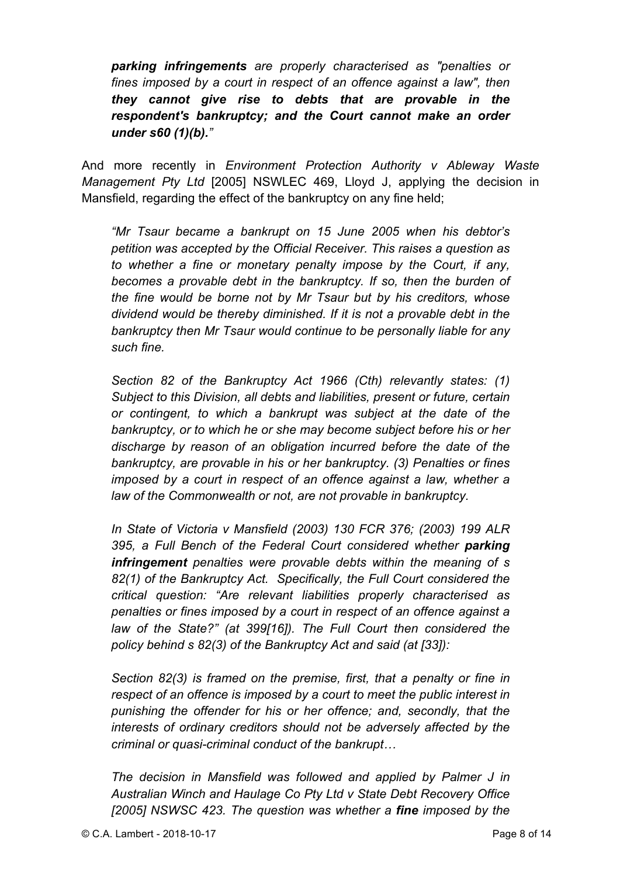*parking infringements are properly characterised as "penalties or fines imposed by a court in respect of an offence against a law", then they cannot give rise to debts that are provable in the respondent's bankruptcy; and the Court cannot make an order under s60 (1)(b)."*

And more recently in *Environment Protection Authority v Ableway Waste Management Pty Ltd* [2005] NSWLEC 469, Lloyd J, applying the decision in Mansfield, regarding the effect of the bankruptcy on any fine held;

*"Mr Tsaur became a bankrupt on 15 June 2005 when his debtor's petition was accepted by the Official Receiver. This raises a question as to whether a fine or monetary penalty impose by the Court, if any, becomes a provable debt in the bankruptcy. If so, then the burden of the fine would be borne not by Mr Tsaur but by his creditors, whose dividend would be thereby diminished. If it is not a provable debt in the bankruptcy then Mr Tsaur would continue to be personally liable for any such fine.*

*Section 82 of the Bankruptcy Act 1966 (Cth) relevantly states: (1) Subject to this Division, all debts and liabilities, present or future, certain or contingent, to which a bankrupt was subject at the date of the bankruptcy, or to which he or she may become subject before his or her discharge by reason of an obligation incurred before the date of the bankruptcy, are provable in his or her bankruptcy. (3) Penalties or fines imposed by a court in respect of an offence against a law, whether a law of the Commonwealth or not, are not provable in bankruptcy.*

*In State of Victoria v Mansfield (2003) 130 FCR 376; (2003) 199 ALR 395, a Full Bench of the Federal Court considered whether parking infringement penalties were provable debts within the meaning of s 82(1) of the Bankruptcy Act. Specifically, the Full Court considered the critical question: "Are relevant liabilities properly characterised as penalties or fines imposed by a court in respect of an offence against a law of the State?" (at 399[16]). The Full Court then considered the policy behind s 82(3) of the Bankruptcy Act and said (at [33]):*

*Section 82(3) is framed on the premise, first, that a penalty or fine in respect of an offence is imposed by a court to meet the public interest in punishing the offender for his or her offence; and, secondly, that the interests of ordinary creditors should not be adversely affected by the criminal or quasi-criminal conduct of the bankrupt…*

*The decision in Mansfield was followed and applied by Palmer J in Australian Winch and Haulage Co Pty Ltd v State Debt Recovery Office [2005] NSWSC 423. The question was whether a fine imposed by the*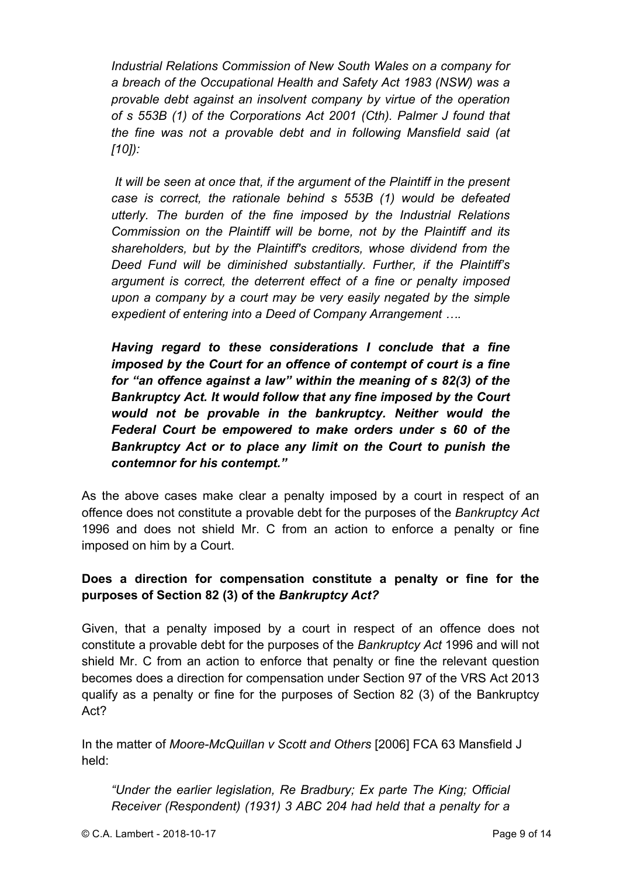*Industrial Relations Commission of New South Wales on a company for a breach of the Occupational Health and Safety Act 1983 (NSW) was a provable debt against an insolvent company by virtue of the operation of s 553B (1) of the Corporations Act 2001 (Cth). Palmer J found that the fine was not a provable debt and in following Mansfield said (at [10]):*

*It will be seen at once that, if the argument of the Plaintiff in the present case is correct, the rationale behind s 553B (1) would be defeated utterly. The burden of the fine imposed by the Industrial Relations Commission on the Plaintiff will be borne, not by the Plaintiff and its shareholders, but by the Plaintiff's creditors, whose dividend from the Deed Fund will be diminished substantially. Further, if the Plaintiff's argument is correct, the deterrent effect of a fine or penalty imposed upon a company by a court may be very easily negated by the simple expedient of entering into a Deed of Company Arrangement ….*

*Having regard to these considerations I conclude that a fine imposed by the Court for an offence of contempt of court is a fine for "an offence against a law" within the meaning of s 82(3) of the Bankruptcy Act. It would follow that any fine imposed by the Court would not be provable in the bankruptcy. Neither would the Federal Court be empowered to make orders under s 60 of the Bankruptcy Act or to place any limit on the Court to punish the contemnor for his contempt."*

As the above cases make clear a penalty imposed by a court in respect of an offence does not constitute a provable debt for the purposes of the *Bankruptcy Act* 1996 and does not shield Mr. C from an action to enforce a penalty or fine imposed on him by a Court.

## **Does a direction for compensation constitute a penalty or fine for the purposes of Section 82 (3) of the** *Bankruptcy Act?*

Given, that a penalty imposed by a court in respect of an offence does not constitute a provable debt for the purposes of the *Bankruptcy Act* 1996 and will not shield Mr. C from an action to enforce that penalty or fine the relevant question becomes does a direction for compensation under Section 97 of the VRS Act 2013 qualify as a penalty or fine for the purposes of Section 82 (3) of the Bankruptcy Act?

In the matter of *Moore-McQuillan v Scott and Others* [2006] FCA 63 Mansfield J held:

*"Under the earlier legislation, Re Bradbury; Ex parte The King; Official Receiver (Respondent) (1931) 3 ABC 204 had held that a penalty for a*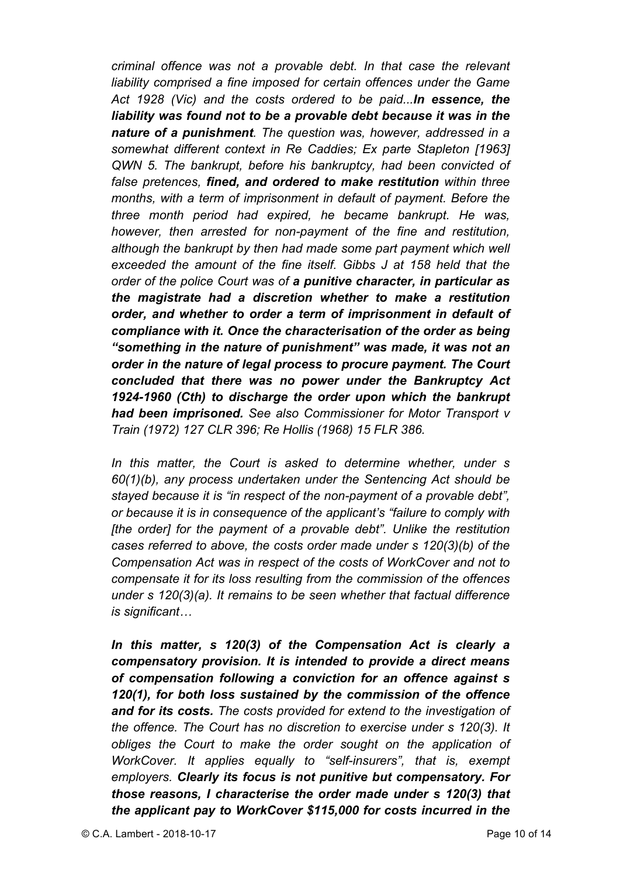*criminal offence was not a provable debt. In that case the relevant liability comprised a fine imposed for certain offences under the Game Act 1928 (Vic) and the costs ordered to be paid...In essence, the liability was found not to be a provable debt because it was in the nature of a punishment. The question was, however, addressed in a somewhat different context in Re Caddies; Ex parte Stapleton [1963] QWN 5. The bankrupt, before his bankruptcy, had been convicted of false pretences, fined, and ordered to make restitution within three months, with a term of imprisonment in default of payment. Before the three month period had expired, he became bankrupt. He was, however, then arrested for non-payment of the fine and restitution, although the bankrupt by then had made some part payment which well exceeded the amount of the fine itself. Gibbs J at 158 held that the order of the police Court was of a punitive character, in particular as the magistrate had a discretion whether to make a restitution order, and whether to order a term of imprisonment in default of compliance with it. Once the characterisation of the order as being "something in the nature of punishment" was made, it was not an order in the nature of legal process to procure payment. The Court concluded that there was no power under the Bankruptcy Act 1924-1960 (Cth) to discharge the order upon which the bankrupt had been imprisoned. See also Commissioner for Motor Transport v Train (1972) 127 CLR 396; Re Hollis (1968) 15 FLR 386.* 

*In this matter, the Court is asked to determine whether, under s 60(1)(b), any process undertaken under the Sentencing Act should be stayed because it is "in respect of the non-payment of a provable debt", or because it is in consequence of the applicant's "failure to comply with [the order] for the payment of a provable debt". Unlike the restitution cases referred to above, the costs order made under s 120(3)(b) of the Compensation Act was in respect of the costs of WorkCover and not to compensate it for its loss resulting from the commission of the offences under s 120(3)(a). It remains to be seen whether that factual difference is significant…*

*In this matter, s 120(3) of the Compensation Act is clearly a compensatory provision. It is intended to provide a direct means of compensation following a conviction for an offence against s 120(1), for both loss sustained by the commission of the offence and for its costs. The costs provided for extend to the investigation of the offence. The Court has no discretion to exercise under s 120(3). It obliges the Court to make the order sought on the application of WorkCover. It applies equally to "self-insurers", that is, exempt employers. Clearly its focus is not punitive but compensatory. For those reasons, I characterise the order made under s 120(3) that the applicant pay to WorkCover \$115,000 for costs incurred in the*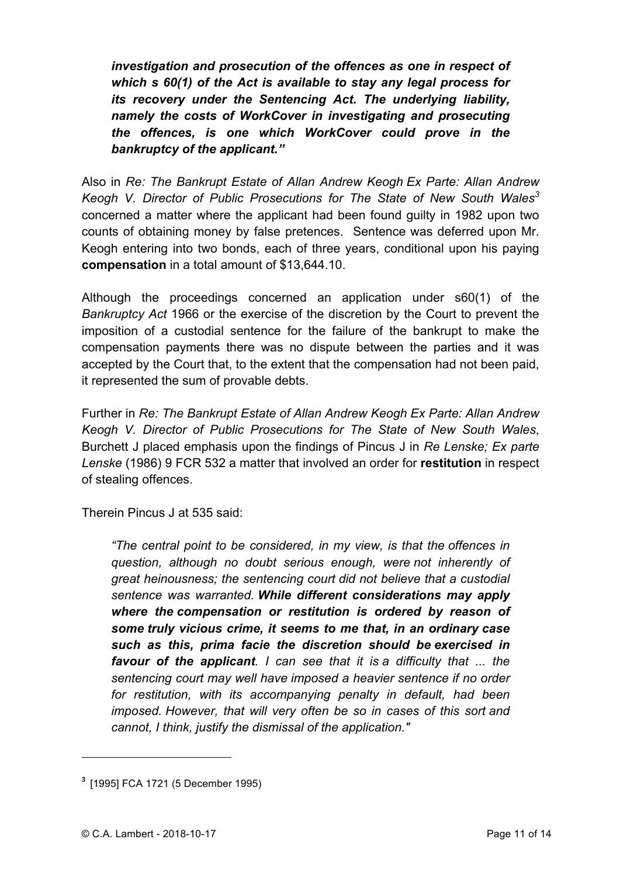*investigation and prosecution of the offences as one in respect of which s 60(1) of the Act is available to stay any legal process for its recovery under the Sentencing Act. The underlying liability, namely the costs of WorkCover in investigating and prosecuting the offences, is one which WorkCover could prove in the bankruptcy of the applicant."*

Also in *Re: The Bankrupt Estate of Allan Andrew Keogh Ex Parte: Allan Andrew*  Keogh V. Director of Public Prosecutions for The State of New South Wales<sup>3</sup> concerned a matter where the applicant had been found guilty in 1982 upon two counts of obtaining money by false pretences. Sentence was deferred upon Mr. Keogh entering into two bonds, each of three years, conditional upon his paying **compensation** in a total amount of \$13,644.10.

Although the proceedings concerned an application under s60(1) of the *Bankruptcy Act* 1966 or the exercise of the discretion by the Court to prevent the imposition of a custodial sentence for the failure of the bankrupt to make the compensation payments there was no dispute between the parties and it was accepted by the Court that, to the extent that the compensation had not been paid, it represented the sum of provable debts.

Further in *Re: The Bankrupt Estate of Allan Andrew Keogh Ex Parte: Allan Andrew Keogh V. Director of Public Prosecutions for The State of New South Wales*, Burchett J placed emphasis upon the findings of Pincus J in *Re Lenske; Ex parte Lenske* (1986) 9 FCR 532 a matter that involved an order for **restitution** in respect of stealing offences.

Therein Pincus J at 535 said:

*"The central point to be considered, in my view, is that the offences in question, although no doubt serious enough, were not inherently of great heinousness; the sentencing court did not believe that a custodial sentence was warranted. While different considerations may apply where the compensation or restitution is ordered by reason of some truly vicious crime, it seems to me that, in an ordinary case such as this, prima facie the discretion should be exercised in favour of the applicant. I can see that it is a difficulty that ... the sentencing court may well have imposed a heavier sentence if no order for restitution, with its accompanying penalty in default, had been imposed. However, that will very often be so in cases of this sort and cannot, I think, justify the dismissal of the application."*

 $\overline{a}$ 

**<sup>3</sup>** [1995] FCA 1721 (5 December 1995)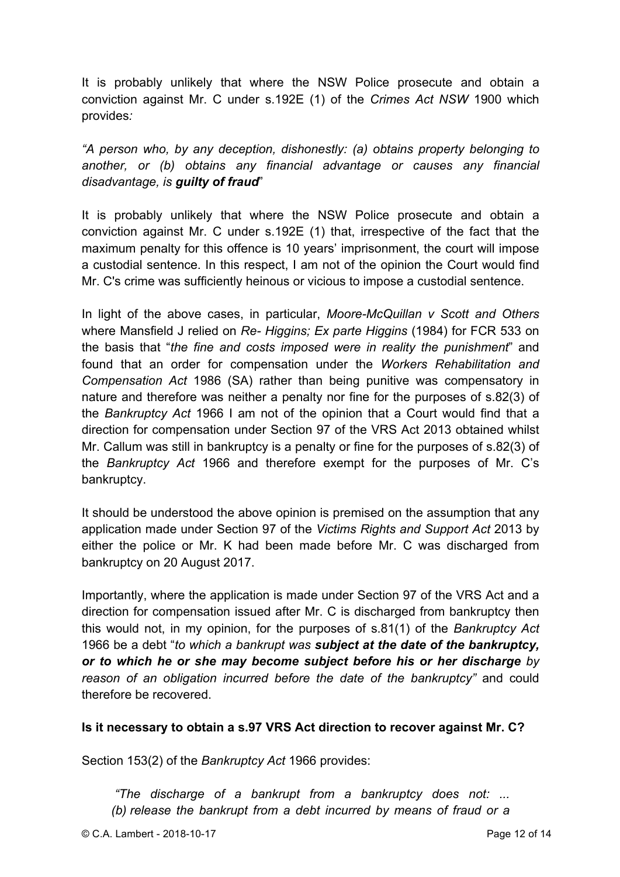It is probably unlikely that where the NSW Police prosecute and obtain a conviction against Mr. C under s.192E (1) of the *Crimes Act NSW* 1900 which provides*:*

*"A person who, by any deception, dishonestly: (a) obtains property belonging to another, or (b) obtains any financial advantage or causes any financial disadvantage, is guilty of fraud*"

It is probably unlikely that where the NSW Police prosecute and obtain a conviction against Mr. C under s.192E (1) that, irrespective of the fact that the maximum penalty for this offence is 10 years' imprisonment, the court will impose a custodial sentence. In this respect, I am not of the opinion the Court would find Mr. C's crime was sufficiently heinous or vicious to impose a custodial sentence.

In light of the above cases, in particular, *Moore-McQuillan v Scott and Others*  where Mansfield J relied on *Re- Higgins; Ex parte Higgins* (1984) for FCR 533 on the basis that "*the fine and costs imposed were in reality the punishment*" and found that an order for compensation under the *Workers Rehabilitation and Compensation Act* 1986 (SA) rather than being punitive was compensatory in nature and therefore was neither a penalty nor fine for the purposes of s.82(3) of the *Bankruptcy Act* 1966 I am not of the opinion that a Court would find that a direction for compensation under Section 97 of the VRS Act 2013 obtained whilst Mr. Callum was still in bankruptcy is a penalty or fine for the purposes of s.82(3) of the *Bankruptcy Act* 1966 and therefore exempt for the purposes of Mr. C's bankruptcy.

It should be understood the above opinion is premised on the assumption that any application made under Section 97 of the *Victims Rights and Support Act* 2013 by either the police or Mr. K had been made before Mr. C was discharged from bankruptcy on 20 August 2017.

Importantly, where the application is made under Section 97 of the VRS Act and a direction for compensation issued after Mr. C is discharged from bankruptcy then this would not, in my opinion, for the purposes of s.81(1) of the *Bankruptcy Act*  1966 be a debt "*to which a bankrupt was subject at the date of the bankruptcy, or to which he or she may become subject before his or her discharge by reason of an obligation incurred before the date of the bankruptcy"* and could therefore be recovered.

#### **Is it necessary to obtain a s.97 VRS Act direction to recover against Mr. C?**

Section 153(2) of the *Bankruptcy Act* 1966 provides:

*"The discharge of a bankrupt from a bankruptcy does not: ... (b) release the bankrupt from a debt incurred by means of fraud or a*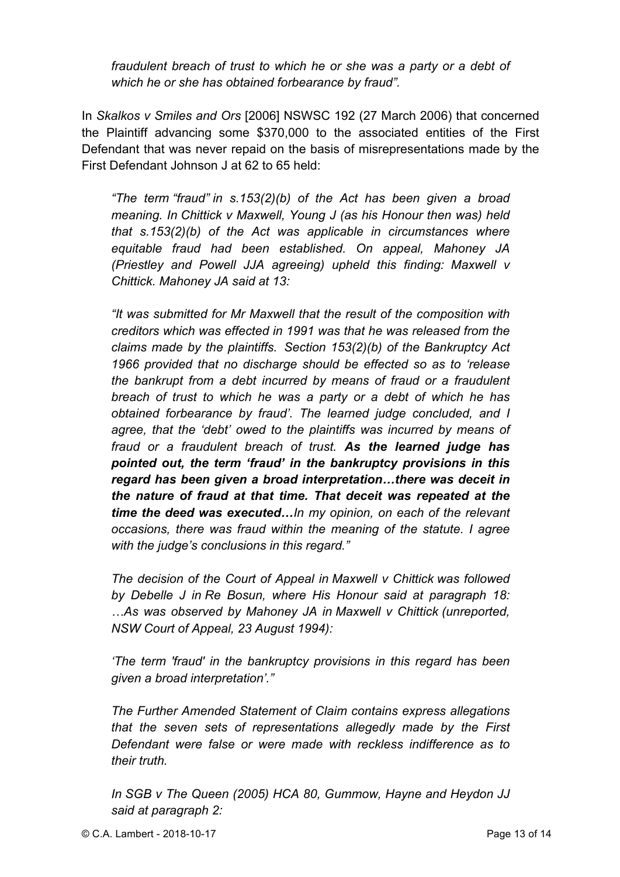*fraudulent breach of trust to which he or she was a party or a debt of which he or she has obtained forbearance by fraud".*

In *Skalkos v Smiles and Ors* [2006] NSWSC 192 (27 March 2006) that concerned the Plaintiff advancing some \$370,000 to the associated entities of the First Defendant that was never repaid on the basis of misrepresentations made by the First Defendant Johnson J at 62 to 65 held:

*"The term "fraud" in s.153(2)(b) of the Act has been given a broad meaning. In Chittick v Maxwell, Young J (as his Honour then was) held that s.153(2)(b) of the Act was applicable in circumstances where equitable fraud had been established. On appeal, Mahoney JA (Priestley and Powell JJA agreeing) upheld this finding: Maxwell v Chittick. Mahoney JA said at 13:*

*"It was submitted for Mr Maxwell that the result of the composition with creditors which was effected in 1991 was that he was released from the claims made by the plaintiffs. Section 153(2)(b) of the Bankruptcy Act 1966 provided that no discharge should be effected so as to 'release the bankrupt from a debt incurred by means of fraud or a fraudulent breach of trust to which he was a party or a debt of which he has obtained forbearance by fraud'. The learned judge concluded, and I agree, that the 'debt' owed to the plaintiffs was incurred by means of fraud or a fraudulent breach of trust. As the learned judge has pointed out, the term 'fraud' in the bankruptcy provisions in this regard has been given a broad interpretation…there was deceit in the nature of fraud at that time. That deceit was repeated at the time the deed was executed…In my opinion, on each of the relevant occasions, there was fraud within the meaning of the statute. I agree with the judge's conclusions in this regard."*

*The decision of the Court of Appeal in Maxwell v Chittick was followed by Debelle J in Re Bosun, where His Honour said at paragraph 18: …As was observed by Mahoney JA in Maxwell v Chittick (unreported, NSW Court of Appeal, 23 August 1994):*

*'The term 'fraud' in the bankruptcy provisions in this regard has been given a broad interpretation'."*

*The Further Amended Statement of Claim contains express allegations that the seven sets of representations allegedly made by the First Defendant were false or were made with reckless indifference as to their truth.*

*In SGB v The Queen (2005) HCA 80, Gummow, Hayne and Heydon JJ said at paragraph 2:*